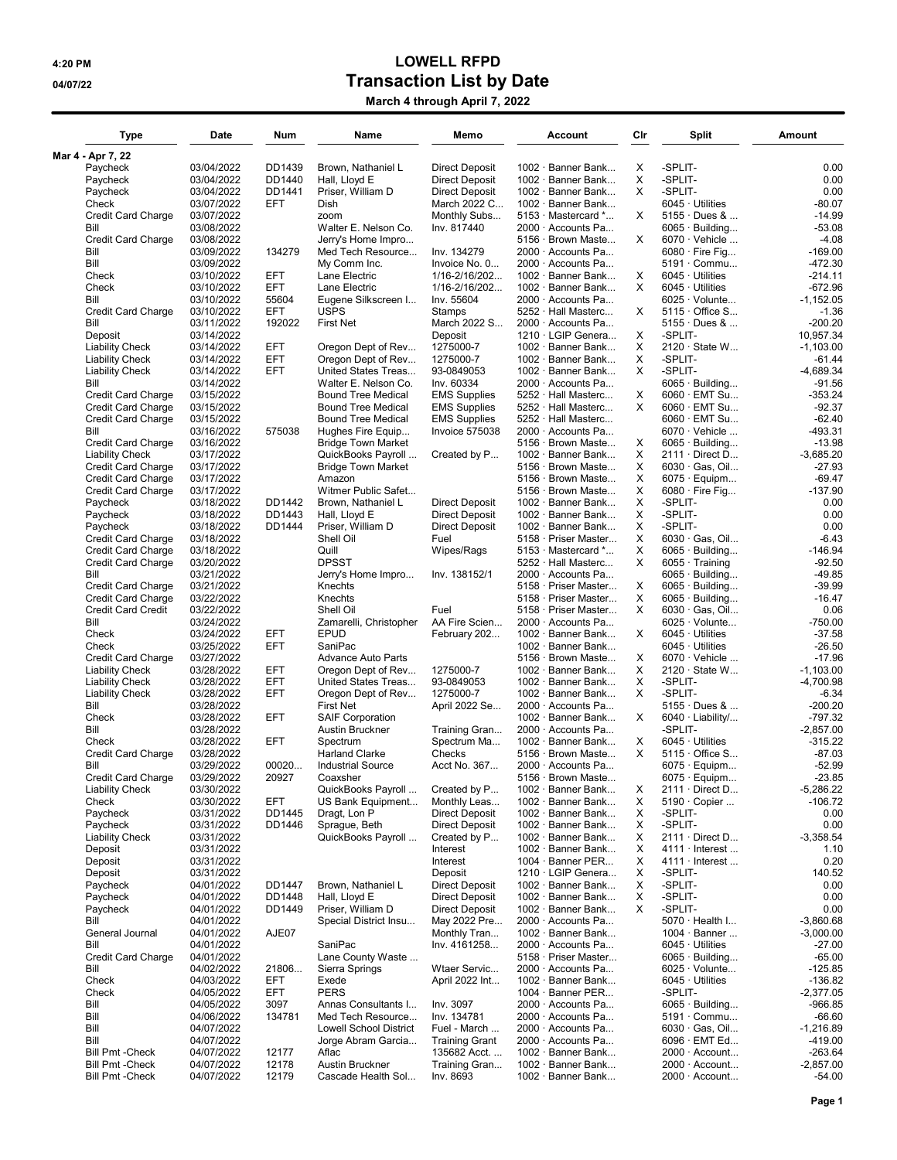## 4:20 PM LOWELL RFPD 04/07/22 Output of the Capital State of Transaction List by Date

| March 4 through April 7, 2022 |  |
|-------------------------------|--|
|-------------------------------|--|

| <b>Type</b>                                     | Date                     | Num              | Name                                       | Memo                                           | Account                                        | Cir    | Split                                         | Amount                 |
|-------------------------------------------------|--------------------------|------------------|--------------------------------------------|------------------------------------------------|------------------------------------------------|--------|-----------------------------------------------|------------------------|
| Mar 4 - Apr 7, 22                               |                          |                  |                                            |                                                |                                                |        |                                               |                        |
| Paycheck                                        | 03/04/2022               | DD1439           | Brown, Nathaniel L                         | <b>Direct Deposit</b>                          | 1002 · Banner Bank                             | Х      | -SPLIT-                                       | 0.00                   |
| Paycheck<br>Paycheck                            | 03/04/2022<br>03/04/2022 | DD1440<br>DD1441 | Hall, Lloyd E<br>Priser, William D         | <b>Direct Deposit</b><br><b>Direct Deposit</b> | 1002 · Banner Bank<br>$1002 \cdot$ Banner Bank | X<br>X | -SPLIT-<br>-SPLIT-                            | 0.00<br>0.00           |
| Check                                           | 03/07/2022               | EFT              | Dish                                       | March 2022 C                                   | $1002 \cdot$ Banner Bank                       |        | 6045 · Utilities                              | $-80.07$               |
| <b>Credit Card Charge</b>                       | 03/07/2022               |                  | zoom                                       | Monthly Subs                                   | $5153 \cdot$ Mastercard $*$                    | X      | $5155 \cdot$ Dues &                           | $-14.99$               |
| Bill                                            | 03/08/2022               |                  | Walter E. Nelson Co.                       | Inv. 817440                                    | 2000 · Accounts Pa                             |        | $6065 \cdot$ Building                         | $-53.08$               |
| Credit Card Charge                              | 03/08/2022               |                  | Jerry's Home Impro                         |                                                | 5156 · Brown Maste                             | X      | 6070 · Vehicle                                | $-4.08$                |
| Bill                                            | 03/09/2022               | 134279           | Med Tech Resource                          | Inv. 134279                                    | 2000 · Accounts Pa                             |        | 6080 $\cdot$ Fire Fig                         | $-169.00$              |
| Bill                                            | 03/09/2022               |                  | My Comm Inc.                               | Invoice No. 0                                  | $2000 \cdot$ Accounts Pa                       |        | 5191 · Commu                                  | -472.30                |
| Check                                           | 03/10/2022               | EFT              | Lane Electric                              | 1/16-2/16/202                                  | 1002 · Banner Bank                             | X      | $6045 \cdot$ Utilities                        | $-214.11$              |
| Check                                           | 03/10/2022               | <b>EFT</b>       | Lane Electric                              | 1/16-2/16/202                                  | 1002 · Banner Bank                             | X      | $6045 \cdot$ Utilities                        | -672.96                |
| Bill                                            | 03/10/2022               | 55604            | Eugene Silkscreen I                        | Inv. 55604                                     | 2000 · Accounts Pa                             |        | $6025 \cdot$ Volunte                          | $-1,152.05$            |
| <b>Credit Card Charge</b>                       | 03/10/2022               | <b>EFT</b>       | <b>USPS</b>                                | Stamps                                         | $5252 \cdot$ Hall Masterc                      | X      | $5115 \cdot$ Office S                         | $-1.36$                |
| Bill<br>Deposit                                 | 03/11/2022<br>03/14/2022 | 192022           | <b>First Net</b>                           | March 2022 S<br>Deposit                        | 2000 · Accounts Pa<br>1210 · LGIP Genera       | X      | $5155 \cdot$ Dues &<br>-SPLIT-                | $-200.20$<br>10.957.34 |
| <b>Liability Check</b>                          | 03/14/2022               | EFT              | Oregon Dept of Rev                         | 1275000-7                                      | $1002 \cdot$ Banner Bank                       | Х      | $2120 \cdot$ State W                          | $-1,103.00$            |
| <b>Liability Check</b>                          | 03/14/2022               | <b>EFT</b>       | Oregon Dept of Rev                         | 1275000-7                                      | 1002 · Banner Bank                             | Х      | -SPLIT-                                       | -61.44                 |
| <b>Liability Check</b>                          | 03/14/2022               | <b>EFT</b>       | United States Treas                        | 93-0849053                                     | $1002 \cdot$ Banner Bank                       | X      | -SPLIT-                                       | $-4,689.34$            |
| Bill                                            | 03/14/2022               |                  | Walter E. Nelson Co.                       | Inv. 60334                                     | 2000 · Accounts Pa                             |        | $6065 \cdot$ Building                         | $-91.56$               |
| Credit Card Charge                              | 03/15/2022               |                  | <b>Bound Tree Medical</b>                  | <b>EMS Supplies</b>                            | 5252 · Hall Masterc                            | Х      | $6060 \cdot$ EMT Su                           | -353.24                |
| <b>Credit Card Charge</b>                       | 03/15/2022               |                  | <b>Bound Tree Medical</b>                  | <b>EMS Supplies</b>                            | 5252 · Hall Masterc                            | X      | 6060 · EMT Su                                 | $-92.37$               |
| Credit Card Charge                              | 03/15/2022               |                  | <b>Bound Tree Medical</b>                  | <b>EMS Supplies</b>                            | 5252 · Hall Masterc                            |        | 6060 · EMT Su                                 | $-62.40$               |
| Bill                                            | 03/16/2022               | 575038           | Hughes Fire Equip                          | Invoice 575038                                 | 2000 · Accounts Pa                             |        | $6070 \cdot$ Vehicle                          | -493.31                |
| <b>Credit Card Charge</b>                       | 03/16/2022               |                  | <b>Bridge Town Market</b>                  |                                                | 5156 · Brown Maste                             | X      | $6065 \cdot$ Building                         | $-13.98$               |
| <b>Liability Check</b>                          | 03/17/2022               |                  | QuickBooks Payroll                         | Created by P                                   | 1002 · Banner Bank                             | Х      | $2111 \cdot$ Direct D                         | $-3,685.20$            |
| <b>Credit Card Charge</b>                       | 03/17/2022               |                  | <b>Bridge Town Market</b><br>Amazon        |                                                | 5156 · Brown Maste<br>5156 · Brown Maste       | X<br>X | 6030 · Gas, Oil                               | $-27.93$<br>-69.47     |
| Credit Card Charge<br><b>Credit Card Charge</b> | 03/17/2022<br>03/17/2022 |                  | Witmer Public Safet                        |                                                | 5156 · Brown Maste                             | Х      | $6075 \cdot$ Equipm<br>6080 $\cdot$ Fire Fig  | -137.90                |
| Paycheck                                        | 03/18/2022               | DD1442           | Brown, Nathaniel L                         | <b>Direct Deposit</b>                          | $1002 \cdot$ Banner Bank                       | Х      | -SPLIT-                                       | 0.00                   |
| Paycheck                                        | 03/18/2022               | DD1443           | Hall, Lloyd E                              | <b>Direct Deposit</b>                          | $1002 \cdot$ Banner Bank                       | X      | -SPLIT-                                       | 0.00                   |
| Paycheck                                        | 03/18/2022               | DD1444           | Priser, William D                          | <b>Direct Deposit</b>                          | $1002 \cdot$ Banner Bank                       | X      | -SPLIT-                                       | 0.00                   |
| <b>Credit Card Charge</b>                       | 03/18/2022               |                  | Shell Oil                                  | Fuel                                           | 5158 · Priser Master                           | Х      | $6030 \cdot$ Gas, Oil                         | $-6.43$                |
| <b>Credit Card Charge</b>                       | 03/18/2022               |                  | Quill                                      | Wipes/Rags                                     | 5153 Mastercard *                              | X      | $6065 \cdot$ Building                         | -146.94                |
| <b>Credit Card Charge</b>                       | 03/20/2022               |                  | <b>DPSST</b>                               |                                                | 5252 · Hall Masterc                            | X      | $6055 \cdot$ Training                         | $-92.50$               |
| Bill                                            | 03/21/2022               |                  | Jerry's Home Impro                         | Inv. 138152/1                                  | 2000 · Accounts Pa                             |        | $6065 \cdot$ Building                         | $-49.85$               |
| <b>Credit Card Charge</b>                       | 03/21/2022               |                  | Knechts                                    |                                                | 5158 · Priser Master                           | х      | $6065 \cdot$ Building                         | $-39.99$               |
| <b>Credit Card Charge</b>                       | 03/22/2022               |                  | Knechts                                    |                                                | 5158 · Priser Master                           | Х      | $6065 \cdot$ Building                         | $-16.47$               |
| <b>Credit Card Credit</b><br>Bill               | 03/22/2022<br>03/24/2022 |                  | Shell Oil<br>Zamarelli, Christopher        | Fuel<br>AA Fire Scien                          | 5158 · Priser Master<br>2000 · Accounts Pa     | X      | $6030 \cdot$ Gas, Oil<br>$6025 \cdot$ Volunte | 0.06<br>$-750.00$      |
| Check                                           | 03/24/2022               | EFT              | <b>EPUD</b>                                | February 202                                   | 1002 · Banner Bank                             | X      | $6045 \cdot$ Utilities                        | $-37.58$               |
| Check                                           | 03/25/2022               | <b>EFT</b>       | SaniPac                                    |                                                | 1002 · Banner Bank                             |        | $6045 \cdot$ Utilities                        | $-26.50$               |
| <b>Credit Card Charge</b>                       | 03/27/2022               |                  | <b>Advance Auto Parts</b>                  |                                                | 5156 · Brown Maste                             | Х      | $6070 \cdot$ Vehicle                          | $-17.96$               |
| <b>Liability Check</b>                          | 03/28/2022               | EFT              | Oregon Dept of Rev                         | 1275000-7                                      | 1002 · Banner Bank                             | х      | $2120 \cdot$ State W                          | $-1,103.00$            |
| <b>Liability Check</b>                          | 03/28/2022               | EFT              | United States Treas                        | 93-0849053                                     | $1002 \cdot$ Banner Bank                       | X      | -SPLIT-                                       | $-4,700.98$            |
| <b>Liability Check</b>                          | 03/28/2022               | <b>EFT</b>       | Oregon Dept of Rev                         | 1275000-7                                      | 1002 · Banner Bank                             | X      | -SPLIT-                                       | $-6.34$                |
| Bill                                            | 03/28/2022               |                  | <b>First Net</b>                           | April 2022 Se                                  | 2000 · Accounts Pa                             |        | $5155 \cdot$ Dues &                           | $-200.20$              |
| Check<br>Bill                                   | 03/28/2022               | EFT              | <b>SAIF Corporation</b><br>Austin Bruckner |                                                | 1002 · Banner Bank<br>2000 · Accounts Pa       | X      | 6040 · Liability/                             | $-797.32$              |
| Check                                           | 03/28/2022<br>03/28/2022 | EFT              | Spectrum                                   | Training Gran<br>Spectrum Ma                   | 1002 · Banner Bank                             | X      | -SPLIT-<br>$6045 \cdot$ Utilities             | -2,857.00<br>-315.22   |
| Credit Card Charge                              | 03/28/2022               |                  | <b>Harland Clarke</b>                      | Checks                                         | 5156 · Brown Maste                             | X      | $5115 \cdot$ Office S                         | $-87.03$               |
| Bill                                            | 03/29/2022               | 00020            | <b>Industrial Source</b>                   | Acct No. 367                                   | 2000 · Accounts Pa                             |        | $6075 \cdot$ Equipm                           | $-52.99$               |
| Credit Card Charge                              | 03/29/2022               | 20927            | Coaxsher                                   |                                                | 5156 · Brown Maste.                            |        | $6075 \cdot$ Equipm.                          | $-23.85$               |
| <b>Liability Check</b>                          | 03/30/2022               |                  | QuickBooks Payroll                         | Created by P                                   | 1002 · Banner Bank                             | х      | $2111 \cdot$ Direct D                         | $-5,286.22$            |
| Check                                           | 03/30/2022               | EFT              | US Bank Equipment                          | Monthly Leas                                   | $1002 \cdot$ Banner Bank                       | Χ      | 5190 · Copier                                 | $-106.72$              |
| Paycheck                                        | 03/31/2022               | DD1445           | Dragt, Lon P                               | <b>Direct Deposit</b>                          | 1002 · Banner Bank                             | х      | -SPLIT-                                       | 0.00                   |
| Paycheck                                        | 03/31/2022               | DD1446           | Spraque, Beth                              | <b>Direct Deposit</b>                          | $1002 \cdot$ Banner Bank                       | х      | -SPLIT-                                       | 0.00                   |
| <b>Liability Check</b>                          | 03/31/2022               |                  | QuickBooks Payroll                         | Created by P                                   | 1002 · Banner Bank                             | х      | $2111 \cdot$ Direct D                         | $-3,358.54$            |
| Deposit                                         | 03/31/2022               |                  |                                            | Interest<br>Interest                           | 1002 · Banner Bank<br>1004 · Banner PER        | х      | $4111 \cdot$ Interest                         | 1.10<br>0.20           |
| Deposit<br>Deposit                              | 03/31/2022<br>03/31/2022 |                  |                                            | Deposit                                        | 1210 · LGIP Genera                             | х<br>х | $4111 \cdot$ Interest<br>-SPLIT-              | 140.52                 |
| Paycheck                                        | 04/01/2022               | DD1447           | Brown, Nathaniel L                         | <b>Direct Deposit</b>                          | 1002 · Banner Bank                             | х      | -SPLIT-                                       | 0.00                   |
| Paycheck                                        | 04/01/2022               | DD1448           | Hall, Lloyd E                              | <b>Direct Deposit</b>                          | 1002 · Banner Bank                             | х      | -SPLIT-                                       | 0.00                   |
| Paycheck                                        | 04/01/2022               | DD1449           | Priser, William D                          | <b>Direct Deposit</b>                          | $1002 \cdot$ Banner Bank                       | X      | -SPLIT-                                       | 0.00                   |
| Bill                                            | 04/01/2022               |                  | Special District Insu                      | May 2022 Pre                                   | $2000 \cdot$ Accounts Pa                       |        | 5070 · Health I                               | $-3,860.68$            |
| General Journal                                 | 04/01/2022               | AJE07            |                                            | Monthly Tran                                   | $1002 \cdot$ Banner Bank                       |        | $1004 \cdot$ Banner                           | $-3,000.00$            |
| Bill                                            | 04/01/2022               |                  | SaniPac                                    | Inv. 4161258                                   | $2000 \cdot$ Accounts Pa                       |        | $6045 \cdot$ Utilities                        | $-27.00$               |
| <b>Credit Card Charge</b>                       | 04/01/2022               |                  | Lane County Waste                          |                                                | 5158 · Priser Master                           |        | $6065 \cdot$ Building                         | $-65.00$               |
| Bill                                            | 04/02/2022               | 21806            | Sierra Springs                             | Wtaer Servic                                   | 2000 · Accounts Pa                             |        | $6025 \cdot$ Volunte                          | $-125.85$              |
| Check<br>Check                                  | 04/03/2022               | EFT<br>EFT       | Exede<br><b>PERS</b>                       | April 2022 Int                                 | 1002 · Banner Bank                             |        | $6045 \cdot$ Utilities<br>-SPLIT-             | $-136.82$<br>-2,377.05 |
| Bill                                            | 04/05/2022<br>04/05/2022 | 3097             | Annas Consultants I                        | Inv. 3097                                      | $1004 \cdot$ Banner PER<br>2000 · Accounts Pa  |        | $6065 \cdot$ Building                         | -966.85                |
| Bill                                            | 04/06/2022               | 134781           | Med Tech Resource                          | Inv. 134781                                    | 2000 · Accounts Pa                             |        | 5191 · Commu                                  | -66.60                 |
| Bill                                            | 04/07/2022               |                  | Lowell School District                     | Fuel - March                                   | $2000 \cdot$ Accounts Pa                       |        | $6030 \cdot$ Gas, Oil                         | $-1,216.89$            |
| Bill                                            | 04/07/2022               |                  | Jorge Abram Garcia                         | <b>Training Grant</b>                          | $2000 \cdot$ Accounts Pa                       |        | 6096 · EMT Ed                                 | -419.00                |
| <b>Bill Pmt -Check</b>                          | 04/07/2022               | 12177            | Aflac                                      | 135682 Acct                                    | 1002 · Banner Bank                             |        | $2000 \cdot$ Account                          | $-263.64$              |
| <b>Bill Pmt -Check</b>                          | 04/07/2022               | 12178            | Austin Bruckner                            | Training Gran                                  | 1002 · Banner Bank                             |        | $2000 \cdot$ Account                          | $-2,857.00$            |
| <b>Bill Pmt -Check</b>                          | 04/07/2022               | 12179            | Cascade Health Sol                         | Inv. 8693                                      | $1002 \cdot$ Banner Bank                       |        | $2000 \cdot$ Account                          | $-54.00$               |